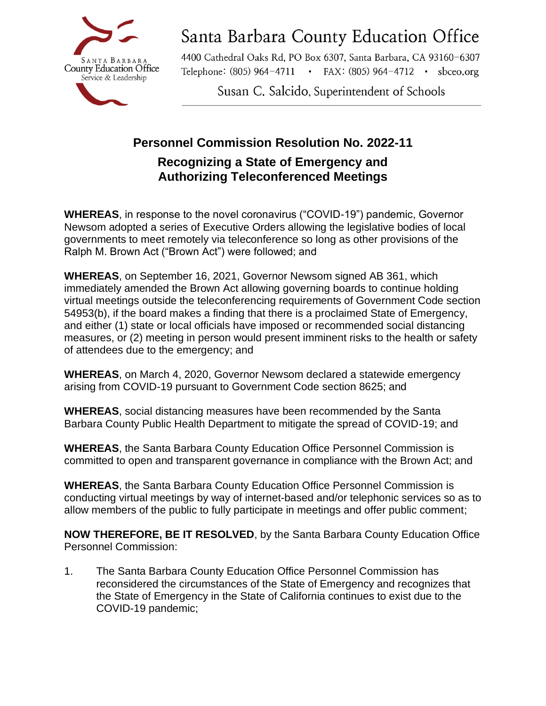

Santa Barbara County Education Office

4400 Cathedral Oaks Rd, PO Box 6307, Santa Barbara, CA 93160-6307 Telephone: (805) 964-4711 • FAX: (805) 964-4712 • sbceo.org

Susan C. Salcido, Superintendent of Schools

## **Personnel Commission Resolution No. 2022-11 Recognizing a State of Emergency and Authorizing Teleconferenced Meetings**

**WHEREAS**, in response to the novel coronavirus ("COVID-19") pandemic, Governor Newsom adopted a series of Executive Orders allowing the legislative bodies of local governments to meet remotely via teleconference so long as other provisions of the Ralph M. Brown Act ("Brown Act") were followed; and

**WHEREAS**, on September 16, 2021, Governor Newsom signed AB 361, which immediately amended the Brown Act allowing governing boards to continue holding virtual meetings outside the teleconferencing requirements of Government Code section 54953(b), if the board makes a finding that there is a proclaimed State of Emergency, and either (1) state or local officials have imposed or recommended social distancing measures, or (2) meeting in person would present imminent risks to the health or safety of attendees due to the emergency; and

**WHEREAS**, on March 4, 2020, Governor Newsom declared a statewide emergency arising from COVID-19 pursuant to Government Code section 8625; and

**WHEREAS**, social distancing measures have been recommended by the Santa Barbara County Public Health Department to mitigate the spread of COVID-19; and

**WHEREAS**, the Santa Barbara County Education Office Personnel Commission is committed to open and transparent governance in compliance with the Brown Act; and

**WHEREAS**, the Santa Barbara County Education Office Personnel Commission is conducting virtual meetings by way of internet-based and/or telephonic services so as to allow members of the public to fully participate in meetings and offer public comment;

**NOW THEREFORE, BE IT RESOLVED**, by the Santa Barbara County Education Office Personnel Commission:

1. The Santa Barbara County Education Office Personnel Commission has reconsidered the circumstances of the State of Emergency and recognizes that the State of Emergency in the State of California continues to exist due to the COVID-19 pandemic;